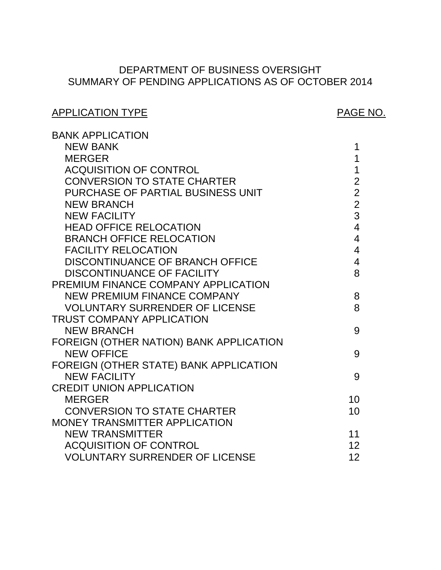# SUMMARY OF PENDING APPLICATIONS AS OF OCTOBER 2014 DEPARTMENT OF BUSINESS OVERSIGHT

# APPLICATION TYPE APPLICATION TYPE

| <b>BANK APPLICATION</b>                 |                |
|-----------------------------------------|----------------|
| <b>NEW BANK</b>                         | 1              |
| <b>MERGER</b>                           | 1              |
| <b>ACQUISITION OF CONTROL</b>           | $\mathbf 1$    |
| <b>CONVERSION TO STATE CHARTER</b>      | $\overline{2}$ |
| PURCHASE OF PARTIAL BUSINESS UNIT       | $\overline{2}$ |
| <b>NEW BRANCH</b>                       | $\overline{2}$ |
| <b>NEW FACILITY</b>                     | 3              |
| <b>HEAD OFFICE RELOCATION</b>           | $\overline{4}$ |
| <b>BRANCH OFFICE RELOCATION</b>         | $\overline{4}$ |
| <b>FACILITY RELOCATION</b>              | $\overline{4}$ |
| <b>DISCONTINUANCE OF BRANCH OFFICE</b>  | $\overline{4}$ |
| <b>DISCONTINUANCE OF FACILITY</b>       | 8              |
| PREMIUM FINANCE COMPANY APPLICATION     |                |
| <b>NEW PREMIUM FINANCE COMPANY</b>      | 8              |
| <b>VOLUNTARY SURRENDER OF LICENSE</b>   | 8              |
| <b>TRUST COMPANY APPLICATION</b>        |                |
| <b>NEW BRANCH</b>                       | 9              |
| FOREIGN (OTHER NATION) BANK APPLICATION |                |
| <b>NEW OFFICE</b>                       | 9              |
| FOREIGN (OTHER STATE) BANK APPLICATION  |                |
| <b>NEW FACILITY</b>                     | 9              |
| <b>CREDIT UNION APPLICATION</b>         |                |
| <b>MERGER</b>                           | 10             |
| <b>CONVERSION TO STATE CHARTER</b>      | 10             |
| MONEY TRANSMITTER APPLICATION           |                |
| <b>NEW TRANSMITTER</b>                  | 11             |
| <b>ACQUISITION OF CONTROL</b>           | 12             |
| <b>VOLUNTARY SURRENDER OF LICENSE</b>   | 12             |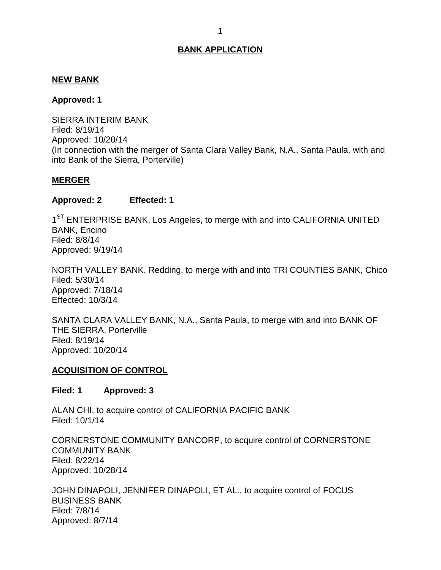## <span id="page-1-0"></span>**NEW BANK**

#### **Approved: 1**

 SIERRA INTERIM BANK (In connection with the merger of Santa Clara Valley Bank, N.A., Santa Paula, with and into Bank of the Sierra, Porterville) Filed: 8/19/14 Approved: 10/20/14

## **MERGER**

## **Approved: 2 Effected: 1**

1<sup>ST</sup> ENTERPRISE BANK, Los Angeles, to merge with and into CALIFORNIA UNITED BANK, Encino Filed: 8/8/14 Approved: 9/19/14

 NORTH VALLEY BANK, Redding, to merge with and into TRI COUNTIES BANK, Chico Filed: 5/30/14 Approved: 7/18/14 Effected: 10/3/14

 SANTA CLARA VALLEY BANK, N.A., Santa Paula, to merge with and into BANK OF THE SIERRA, Porterville Filed: 8/19/14 Approved: 10/20/14

## **ACQUISITION OF CONTROL**

#### **Filed: 1 Approved: 3**

 ALAN CHI, to acquire control of CALIFORNIA PACIFIC BANK Filed: 10/1/14

 CORNERSTONE COMMUNITY BANCORP, to acquire control of CORNERSTONE COMMUNITY BANK Filed: 8/22/14 Approved: 10/28/14

 JOHN DINAPOLI, JENNIFER DINAPOLI, ET AL., to acquire control of FOCUS BUSINESS BANK Filed: 7/8/14 Approved: 8/7/14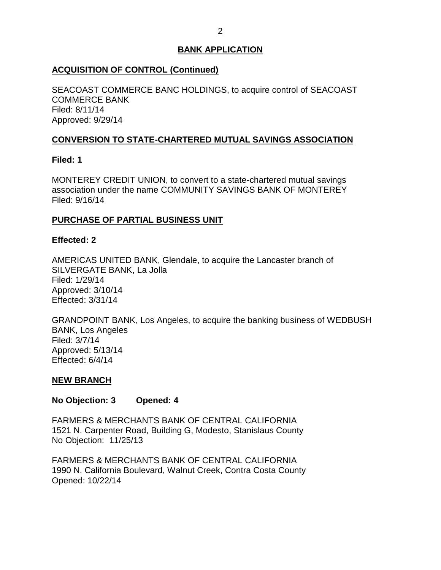## <span id="page-2-0"></span>**ACQUISITION OF CONTROL (Continued)**

 SEACOAST COMMERCE BANC HOLDINGS, to acquire control of SEACOAST COMMERCE BANK Filed: 8/11/14 Approved: 9/29/14

## **CONVERSION TO STATE-CHARTERED MUTUAL SAVINGS ASSOCIATION**

## **Filed: 1**

 MONTEREY CREDIT UNION, to convert to a state-chartered mutual savings association under the name COMMUNITY SAVINGS BANK OF MONTEREY Filed: 9/16/14

## **PURCHASE OF PARTIAL BUSINESS UNIT**

## **Effected: 2**

 AMERICAS UNITED BANK, Glendale, to acquire the Lancaster branch of SILVERGATE BANK, La Jolla Filed: 1/29/14 Approved: 3/10/14 Effected: 3/31/14

 GRANDPOINT BANK, Los Angeles, to acquire the banking business of WEDBUSH BANK, Los Angeles Filed: 3/7/14 Approved: 5/13/14 Effected: 6/4/14

## **NEW BRANCH**

**No Objection: 3 Opened: 4** 

 FARMERS & MERCHANTS BANK OF CENTRAL CALIFORNIA 1521 N. Carpenter Road, Building G, Modesto, Stanislaus County No Objection: 11/25/13

 FARMERS & MERCHANTS BANK OF CENTRAL CALIFORNIA 1990 N. California Boulevard, Walnut Creek, Contra Costa County Opened: 10/22/14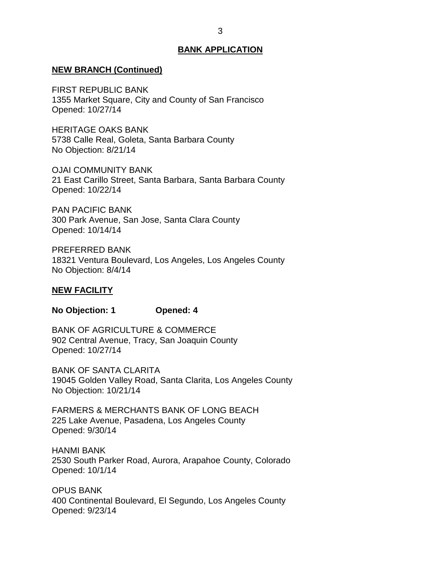#### <span id="page-3-0"></span>**NEW BRANCH (Continued)**

 1355 Market Square, City and County of San Francisco FIRST REPUBLIC BANK Opened: 10/27/14

 HERITAGE OAKS BANK 5738 Calle Real, Goleta, Santa Barbara County No Objection: 8/21/14

 21 East Carillo Street, Santa Barbara, Santa Barbara County OJAI COMMUNITY BANK Opened: 10/22/14

 300 Park Avenue, San Jose, Santa Clara County PAN PACIFIC BANK Opened: 10/14/14

 18321 Ventura Boulevard, Los Angeles, Los Angeles County No Objection: 8/4/14 PREFERRED BANK

#### **NEW FACILITY**

**No Objection: 1 Opened: 4** 

 902 Central Avenue, Tracy, San Joaquin County BANK OF AGRICULTURE & COMMERCE Opened: 10/27/14

 19045 Golden Valley Road, Santa Clarita, Los Angeles County No Objection: 10/21/14 BANK OF SANTA CLARITA

 FARMERS & MERCHANTS BANK OF LONG BEACH 225 Lake Avenue, Pasadena, Los Angeles County Opened: 9/30/14

 2530 South Parker Road, Aurora, Arapahoe County, Colorado HANMI BANK Opened: 10/1/14

 400 Continental Boulevard, El Segundo, Los Angeles County OPUS BANK Opened: 9/23/14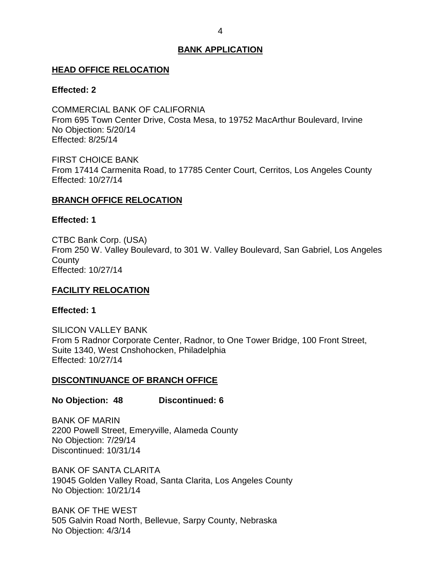#### <span id="page-4-0"></span>**HEAD OFFICE RELOCATION**

#### **Effected: 2**

 COMMERCIAL BANK OF CALIFORNIA From 695 Town Center Drive, Costa Mesa, to 19752 MacArthur Boulevard, Irvine No Objection: 5/20/14 Effected: 8/25/14

 FIRST CHOICE BANK From 17414 Carmenita Road, to 17785 Center Court, Cerritos, Los Angeles County Effected: 10/27/14

#### **BRANCH OFFICE RELOCATION**

#### **Effected: 1**

 From 250 W. Valley Boulevard, to 301 W. Valley Boulevard, San Gabriel, Los Angeles CTBC Bank Corp. (USA) **County** Effected: 10/27/14

#### **FACILITY RELOCATION**

#### **Effected: 1**

 From 5 Radnor Corporate Center, Radnor, to One Tower Bridge, 100 Front Street, Suite 1340, West Cnshohocken, Philadelphia SILICON VALLEY BANK Effected: 10/27/14

#### **DISCONTINUANCE OF BRANCH OFFICE**

#### **No Objection: 48 Discontinued: 6**

 2200 Powell Street, Emeryville, Alameda County BANK OF MARIN No Objection: 7/29/14 Discontinued: 10/31/14

 19045 Golden Valley Road, Santa Clarita, Los Angeles County No Objection: 10/21/14 BANK OF SANTA CLARITA

 BANK OF THE WEST 505 Galvin Road North, Bellevue, Sarpy County, Nebraska No Objection: 4/3/14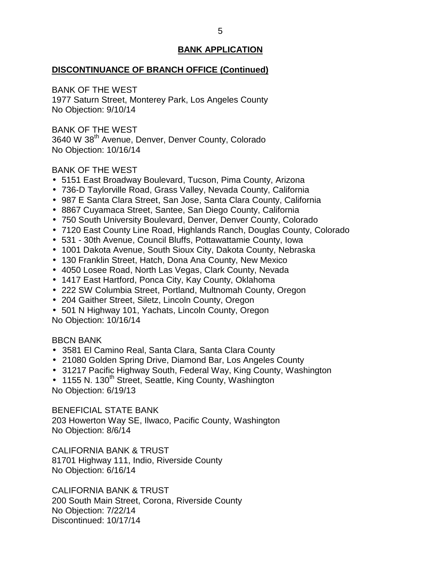## **DISCONTINUANCE OF BRANCH OFFICE (Continued)**

BANK OF THE WEST

 1977 Saturn Street, Monterey Park, Los Angeles County No Objection: 9/10/14

 BANK OF THE WEST 3640 W 38<sup>th</sup> Avenue, Denver, Denver County, Colorado No Objection: 10/16/14

## BANK OF THE WEST

- 5151 East Broadway Boulevard, Tucson, Pima County, Arizona
- 736-D Taylorville Road, Grass Valley, Nevada County, California
- 987 E Santa Clara Street, San Jose, Santa Clara County, California
- 8867 Cuyamaca Street, Santee, San Diego County, California
- 750 South University Boulevard, Denver, Denver County, Colorado
- 7120 East County Line Road, Highlands Ranch, Douglas County, Colorado
- 531 30th Avenue, Council Bluffs, Pottawattamie County, Iowa
- 1001 Dakota Avenue, South Sioux City, Dakota County, Nebraska
- 130 Franklin Street, Hatch, Dona Ana County, New Mexico
- 4050 Losee Road, North Las Vegas, Clark County, Nevada
- 1417 East Hartford, Ponca City, Kay County, Oklahoma
- 222 SW Columbia Street, Portland, Multnomah County, Oregon
- 204 Gaither Street, Siletz, Lincoln County, Oregon
- 501 N Highway 101, Yachats, Lincoln County, Oregon No Objection: 10/16/14

## BBCN BANK

- 3581 El Camino Real, Santa Clara, Santa Clara County
- 21080 Golden Spring Drive, Diamond Bar, Los Angeles County
- 31217 Pacific Highway South, Federal Way, King County, Washington
- 1155 N. 130<sup>th</sup> Street, Seattle, King County, Washington No Objection: 6/19/13

 BENEFICIAL STATE BANK 203 Howerton Way SE, Ilwaco, Pacific County, Washington No Objection: 8/6/14

 CALIFORNIA BANK & TRUST 81701 Highway 111, Indio, Riverside County No Objection: 6/16/14

 CALIFORNIA BANK & TRUST 200 South Main Street, Corona, Riverside County No Objection: 7/22/14 Discontinued: 10/17/14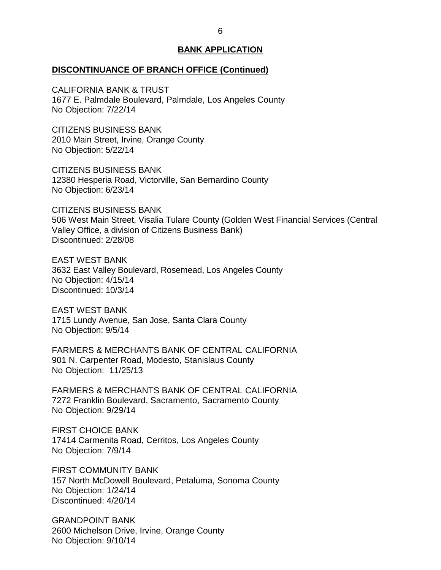#### **DISCONTINUANCE OF BRANCH OFFICE (Continued)**

 CALIFORNIA BANK & TRUST 1677 E. Palmdale Boulevard, Palmdale, Los Angeles County No Objection: 7/22/14

 CITIZENS BUSINESS BANK 2010 Main Street, Irvine, Orange County No Objection: 5/22/14

 CITIZENS BUSINESS BANK 12380 Hesperia Road, Victorville, San Bernardino County No Objection: 6/23/14

 CITIZENS BUSINESS BANK 506 West Main Street, Visalia Tulare County (Golden West Financial Services (Central Valley Office, a division of Citizens Business Bank) Discontinued: 2/28/08

 3632 East Valley Boulevard, Rosemead, Los Angeles County No Objection: 4/15/14 EAST WEST BANK Discontinued: 10/3/14

 1715 Lundy Avenue, San Jose, Santa Clara County No Objection: 9/5/14 EAST WEST BANK

 FARMERS & MERCHANTS BANK OF CENTRAL CALIFORNIA 901 N. Carpenter Road, Modesto, Stanislaus County No Objection: 11/25/13

 FARMERS & MERCHANTS BANK OF CENTRAL CALIFORNIA 7272 Franklin Boulevard, Sacramento, Sacramento County No Objection: 9/29/14

 FIRST CHOICE BANK 17414 Carmenita Road, Cerritos, Los Angeles County No Objection: 7/9/14

 157 North McDowell Boulevard, Petaluma, Sonoma County FIRST COMMUNITY BANK No Objection: 1/24/14 Discontinued: 4/20/14

 2600 Michelson Drive, Irvine, Orange County No Objection: 9/10/14 GRANDPOINT BANK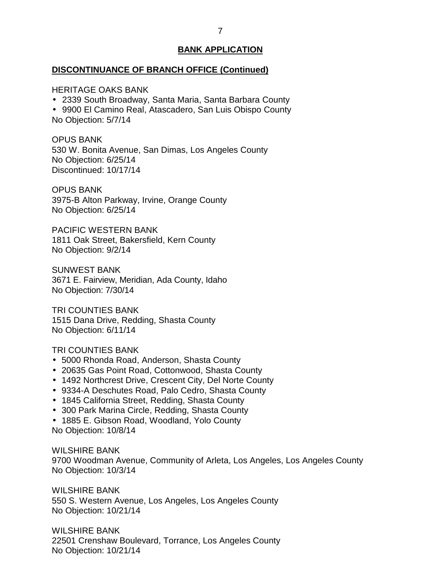#### **DISCONTINUANCE OF BRANCH OFFICE (Continued)**

HERITAGE OAKS BANK

2339 South Broadway, Santa Maria, Santa Barbara County

 9900 El Camino Real, Atascadero, San Luis Obispo County No Objection: 5/7/14

 530 W. Bonita Avenue, San Dimas, Los Angeles County No Objection: 6/25/14 OPUS BANK Discontinued: 10/17/14

 3975-B Alton Parkway, Irvine, Orange County No Objection: 6/25/14 OPUS BANK

 1811 Oak Street, Bakersfield, Kern County No Objection: 9/2/14 PACIFIC WESTERN BANK

 3671 E. Fairview, Meridian, Ada County, Idaho No Objection: 7/30/14 SUNWEST BANK

 1515 Dana Drive, Redding, Shasta County No Objection: 6/11/14 TRI COUNTIES BANK

#### TRI COUNTIES BANK

- 5000 Rhonda Road, Anderson, Shasta County
- 20635 Gas Point Road, Cottonwood, Shasta County
- 1492 Northcrest Drive, Crescent City, Del Norte County
- 9334-A Deschutes Road, Palo Cedro, Shasta County
- 1845 California Street, Redding, Shasta County
- 300 Park Marina Circle, Redding, Shasta County
- 1885 E. Gibson Road, Woodland, Yolo County

No Objection: 10/8/14

 9700 Woodman Avenue, Community of Arleta, Los Angeles, Los Angeles County No Objection: 10/3/14 WILSHIRE BANK

 550 S. Western Avenue, Los Angeles, Los Angeles County No Objection: 10/21/14 WILSHIRE BANK

 22501 Crenshaw Boulevard, Torrance, Los Angeles County No Objection: 10/21/14 WILSHIRE BANK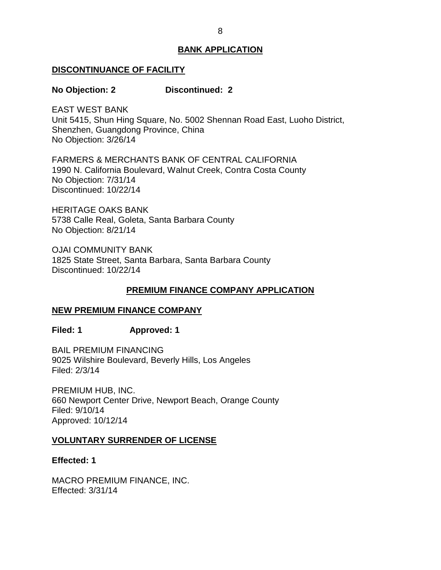#### <span id="page-8-0"></span>**DISCONTINUANCE OF FACILITY**

#### **No Objection: 2 Discontinued: 2**

 EAST WEST BANK Unit 5415, Shun Hing Square, No. 5002 Shennan Road East, Luoho District, Shenzhen, Guangdong Province, China No Objection: 3/26/14

 FARMERS & MERCHANTS BANK OF CENTRAL CALIFORNIA 1990 N. California Boulevard, Walnut Creek, Contra Costa County No Objection: 7/31/14 Discontinued: 10/22/14

 HERITAGE OAKS BANK 5738 Calle Real, Goleta, Santa Barbara County No Objection: 8/21/14

 1825 State Street, Santa Barbara, Santa Barbara County OJAI COMMUNITY BANK Discontinued: 10/22/14

## **PREMIUM FINANCE COMPANY APPLICATION**

## **NEW PREMIUM FINANCE COMPANY**

**Filed: 1 Approved: 1** 

 BAIL PREMIUM FINANCING 9025 Wilshire Boulevard, Beverly Hills, Los Angeles Filed: 2/3/14

 PREMIUM HUB, INC. 660 Newport Center Drive, Newport Beach, Orange County Filed: 9/10/14 Approved: 10/12/14

#### **VOLUNTARY SURRENDER OF LICENSE**

**Effected: 1** 

 MACRO PREMIUM FINANCE, INC. Effected: 3/31/14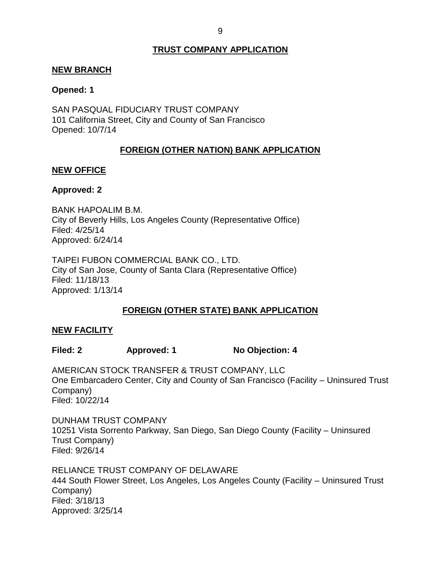## **TRUST COMPANY APPLICATION**

#### <span id="page-9-0"></span>**NEW BRANCH**

#### **Opened: 1**

 SAN PASQUAL FIDUCIARY TRUST COMPANY 101 California Street, City and County of San Francisco Opened: 10/7/14

## **FOREIGN (OTHER NATION) BANK APPLICATION**

#### **NEW OFFICE**

#### **Approved: 2**

 City of Beverly Hills, Los Angeles County (Representative Office) BANK HAPOALIM B.M. Filed: 4/25/14 Approved: 6/24/14

 TAIPEI FUBON COMMERCIAL BANK CO., LTD. City of San Jose, County of Santa Clara (Representative Office) Filed: 11/18/13 Approved: 1/13/14

## **FOREIGN (OTHER STATE) BANK APPLICATION**

#### **NEW FACILITY**

Filed: 2 **Approved: 1** No Objection: 4

 AMERICAN STOCK TRANSFER & TRUST COMPANY, LLC One Embarcadero Center, City and County of San Francisco (Facility – Uninsured Trust Company) Filed: 10/22/14

 DUNHAM TRUST COMPANY 10251 Vista Sorrento Parkway, San Diego, San Diego County (Facility – Uninsured Trust Company) Filed: 9/26/14

 RELIANCE TRUST COMPANY OF DELAWARE 444 South Flower Street, Los Angeles, Los Angeles County (Facility – Uninsured Trust Company) Filed: 3/18/13 Approved: 3/25/14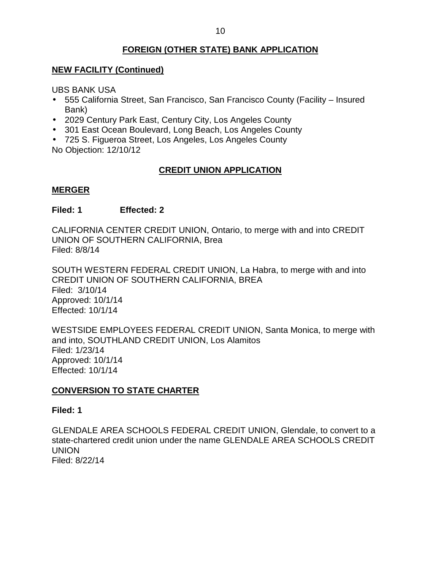## **FOREIGN (OTHER STATE) BANK APPLICATION**

## <span id="page-10-0"></span> **NEW FACILITY (Continued)**

UBS BANK USA

- 555 California Street, San Francisco, San Francisco County (Facility Insured Bank)
- 2029 Century Park East, Century City, Los Angeles County
- 301 East Ocean Boulevard, Long Beach, Los Angeles County
- 725 S. Figueroa Street, Los Angeles, Los Angeles County

No Objection: 12/10/12

## **CREDIT UNION APPLICATION**

## **MERGER**

## **Filed: 1 Effected: 2**

 CALIFORNIA CENTER CREDIT UNION, Ontario, to merge with and into CREDIT UNION OF SOUTHERN CALIFORNIA, Brea Filed: 8/8/14

 SOUTH WESTERN FEDERAL CREDIT UNION, La Habra, to merge with and into Filed: 3/10/14 CREDIT UNION OF SOUTHERN CALIFORNIA, BREA Approved: 10/1/14 Effected: 10/1/14

 WESTSIDE EMPLOYEES FEDERAL CREDIT UNION, Santa Monica, to merge with and into, SOUTHLAND CREDIT UNION, Los Alamitos Filed: 1/23/14 Approved: 10/1/14 Effected: 10/1/14

## **CONVERSION TO STATE CHARTER**

#### **Filed: 1**

 GLENDALE AREA SCHOOLS FEDERAL CREDIT UNION, Glendale, to convert to a state-chartered credit union under the name GLENDALE AREA SCHOOLS CREDIT UNION Filed: 8/22/14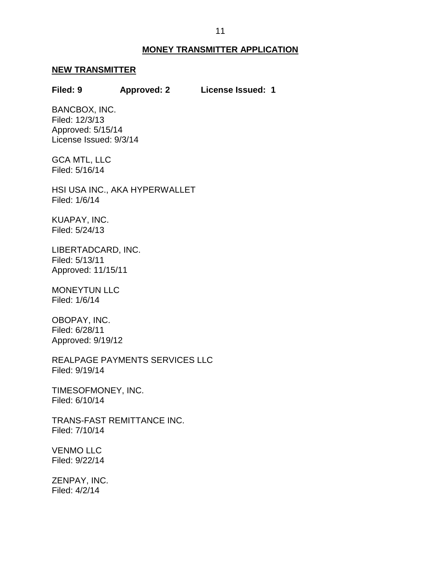#### **MONEY TRANSMITTER APPLICATION**

#### <span id="page-11-0"></span>**NEW TRANSMITTER**

#### **Filed: 9 Approved: 2 License Issued: 1**

 License Issued: 9/3/14 BANCBOX, INC. Filed: 12/3/13 Approved: 5/15/14

 GCA MTL, LLC Filed: 5/16/14

 HSI USA INC., AKA HYPERWALLET Filed: 1/6/14

KUAPAY, INC. Filed: 5/24/13

LIBERTADCARD, INC. Filed: 5/13/11 Approved: 11/15/11

MONEYTUN LLC Filed: 1/6/14

OBOPAY, INC. Filed: 6/28/11 Approved: 9/19/12

REALPAGE PAYMENTS SERVICES LLC Filed: 9/19/14

TIMESOFMONEY, INC. Filed: 6/10/14

TRANS-FAST REMITTANCE INC. Filed: 7/10/14

VENMO LLC Filed: 9/22/14

ZENPAY, INC. Filed: 4/2/14